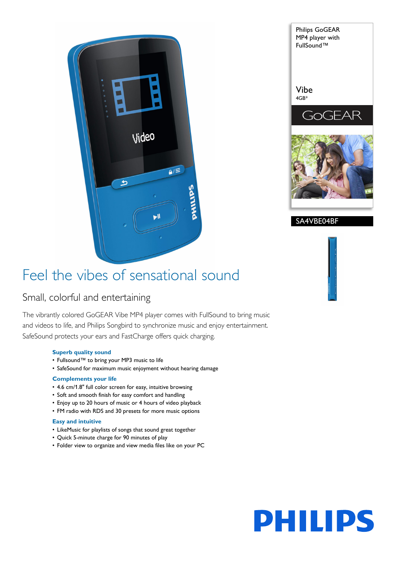



SA4VBE04BF

# Feel the vibes of sensational sound

# Small, colorful and entertaining

The vibrantly colored GoGEAR Vibe MP4 player comes with FullSound to bring music and videos to life, and Philips Songbird to synchronize music and enjoy entertainment. SafeSound protects your ears and FastCharge offers quick charging.

# **Superb quality sound**

- Fullsound™ to bring your MP3 music to life
- SafeSound for maximum music enjoyment without hearing damage

# **Complements your life**

- 4.6 cm/1.8" full color screen for easy, intuitive browsing
- Soft and smooth finish for easy comfort and handling
- Enjoy up to 20 hours of music or 4 hours of video playback
- FM radio with RDS and 30 presets for more music options

# **Easy and intuitive**

- LikeMusic for playlists of songs that sound great together
- Quick 5-minute charge for 90 minutes of play
- Folder view to organize and view media files like on your PC

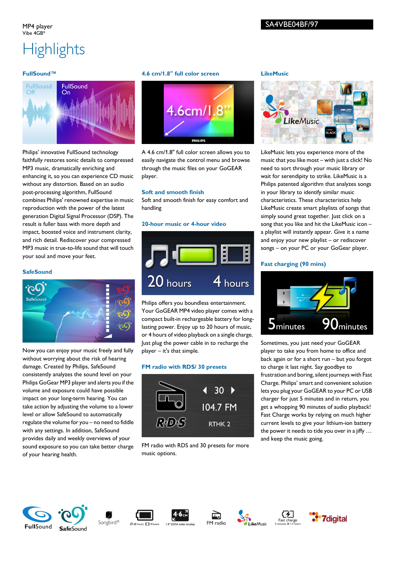

Philips' innovative FullSound technology faithfully restores sonic details to compressed MP3 music, dramatically enriching and enhancing it, so you can experience CD music without any distortion. Based on an audio post-processing algorithm, FullSound combines Philips' renowned expertise in music reproduction with the power of the latest generation Digital Signal Processor (DSP). The result is fuller bass with more depth and impact, boosted voice and instrument clarity, and rich detail. Rediscover your compressed MP3 music in true-to-life sound that will touch your soul and move your feet.

# **SafeSound**



Now you can enjoy your music freely and fully without worrying about the risk of hearing damage. Created by Philips, SafeSound consistently analyzes the sound level on your Philips GoGear MP3 player and alerts you if the volume and exposure could have possible impact on your long-term hearing. You can take action by adjusting the volume to a lower level or allow SafeSound to automatically regulate the volume for you – no need to fiddle with any settings. In addition, SafeSound provides daily and weekly overviews of your sound exposure so you can take better charge of your hearing health.

## **4.6 cm/1.8" full color screen**



A 4.6 cm/1.8" full color screen allows you to easily navigate the control menu and browse through the music files on your GoGEAR player.

### **Soft and smooth finish**

Soft and smooth finish for easy comfort and handling

### **20-hour music or 4-hour video**



Philips offers you boundless entertainment. Your GoGEAR MP4 video player comes with a compact built-in rechargeable battery for longlasting power. Enjoy up to 20 hours of music, or 4 hours of video playback on a single charge. Just plug the power cable in to recharge the player – it's that simple.

# **FM radio with RDS/ 30 presets**



FM radio with RDS and 30 presets for more music options.

#### **LikeMusic**



LikeMusic lets you experience more of the music that you like most – with just a click! No need to sort through your music library or wait for serendipity to strike. LikeMusic is a Philips patented algorithm that analyzes songs in your library to identify similar music characteristics. These characteristics help LikeMusic create smart playlists of songs that simply sound great together. Just click on a song that you like and hit the LikeMusic icon – a playlist will instantly appear. Give it a name and enjoy your new playlist – or rediscover songs – on your PC or your GoGear player.

# **Fast charging (90 mins)**



Sometimes, you just need your GoGEAR player to take you from home to office and back again or for a short run – but you forgot to charge it last night. Say goodbye to frustration and boring, silent journeys with Fast Charge. Philips' smart and convenient solution lets you plug your GoGEAR to your PC or USB charger for just 5 minutes and in return, you get a whopping 90 minutes of audio playback! Fast Charge works by relying on much higher current levels to give your lithium-ion battery the power it needs to tide you over in a jiffy … and keep the music going.